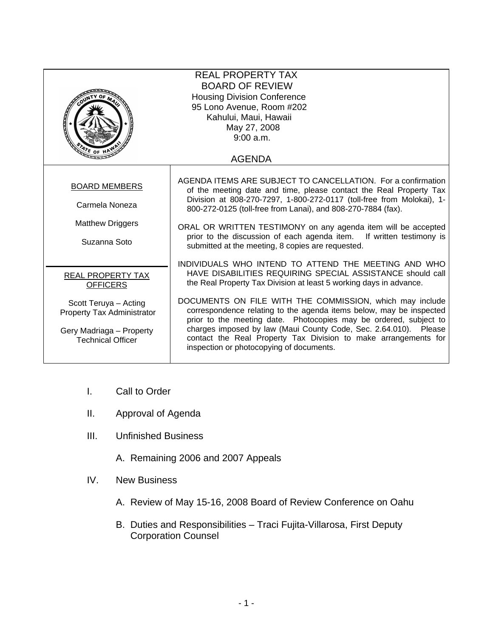| <b>REAL PROPERTY TAX</b><br><b>BOARD OF REVIEW</b><br><b>Housing Division Conference</b><br>95 Lono Avenue, Room #202<br>Kahului, Maui, Hawaii<br>May 27, 2008<br>9:00 a.m.<br>$4r_{E,OF}$<br><b>AGENDA</b> |                                                                                                                                                                                                                                                                                                                                                                                                                                                                                                                                                                                     |
|-------------------------------------------------------------------------------------------------------------------------------------------------------------------------------------------------------------|-------------------------------------------------------------------------------------------------------------------------------------------------------------------------------------------------------------------------------------------------------------------------------------------------------------------------------------------------------------------------------------------------------------------------------------------------------------------------------------------------------------------------------------------------------------------------------------|
| <b>BOARD MEMBERS</b><br>Carmela Noneza<br><b>Matthew Driggers</b><br>Suzanna Soto                                                                                                                           | AGENDA ITEMS ARE SUBJECT TO CANCELLATION. For a confirmation<br>of the meeting date and time, please contact the Real Property Tax<br>Division at 808-270-7297, 1-800-272-0117 (toll-free from Molokai), 1-<br>800-272-0125 (toll-free from Lanai), and 808-270-7884 (fax).<br>ORAL OR WRITTEN TESTIMONY on any agenda item will be accepted<br>prior to the discussion of each agenda item. If written testimony is<br>submitted at the meeting, 8 copies are requested.                                                                                                           |
| REAL PROPERTY TAX<br><b>OFFICERS</b><br>Scott Teruya - Acting<br><b>Property Tax Administrator</b><br>Gery Madriaga - Property<br><b>Technical Officer</b>                                                  | INDIVIDUALS WHO INTEND TO ATTEND THE MEETING AND WHO<br>HAVE DISABILITIES REQUIRING SPECIAL ASSISTANCE should call<br>the Real Property Tax Division at least 5 working days in advance.<br>DOCUMENTS ON FILE WITH THE COMMISSION, which may include<br>correspondence relating to the agenda items below, may be inspected<br>prior to the meeting date. Photocopies may be ordered, subject to<br>charges imposed by law (Maui County Code, Sec. 2.64.010). Please<br>contact the Real Property Tax Division to make arrangements for<br>inspection or photocopying of documents. |

- I. Call to Order
- II. Approval of Agenda
- III. Unfinished Business
	- A. Remaining 2006 and 2007 Appeals
- IV. New Business
	- A. Review of May 15-16, 2008 Board of Review Conference on Oahu
	- B. Duties and Responsibilities Traci Fujita-Villarosa, First Deputy Corporation Counsel